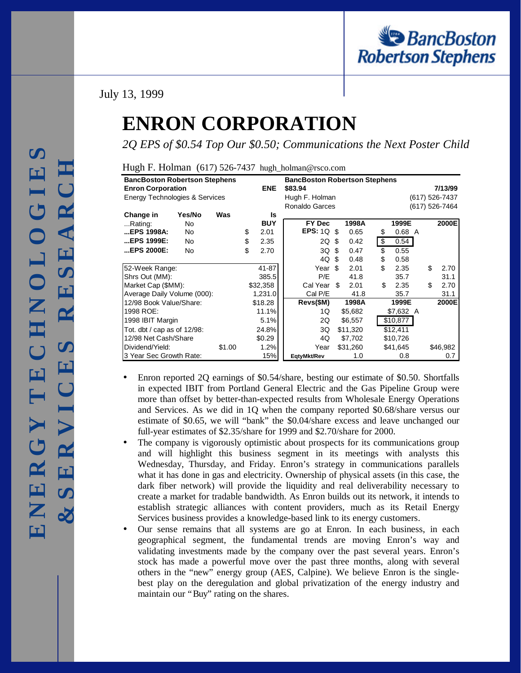# July 13, 1999

# **ENRON CORPORATION**

*2Q EPS of \$0.54 Top Our \$0.50; Communications the Next Poster Child*

|  | Hugh F. Holman (617) 526-7437 hugh_holman@rsco.com |
|--|----------------------------------------------------|
|  |                                                    |

| <b>BancBoston Robertson Stephens</b> |        |        |            | <b>BancBoston Robertson Stephens</b> |                |         |          |                |                |  |    |          |  |
|--------------------------------------|--------|--------|------------|--------------------------------------|----------------|---------|----------|----------------|----------------|--|----|----------|--|
| <b>Enron Corporation</b>             |        |        | <b>ENE</b> | \$83.94                              |                |         |          | 7/13/99        |                |  |    |          |  |
| Energy Technologies & Services       |        |        |            | Hugh F. Holman                       |                |         |          | (617) 526-7437 |                |  |    |          |  |
|                                      |        |        |            |                                      | Ronaldo Garces |         |          |                | (617) 526-7464 |  |    |          |  |
| Change in                            | Yes/No | Was    |            | Is                                   |                |         |          |                |                |  |    |          |  |
| Rating:                              | No     |        |            | <b>BUY</b>                           | FY Dec         |         | 1998A    |                | 1999E          |  |    | 2000E    |  |
| EPS 1998A:                           | No     |        | \$         | 2.01                                 | EPS: $1Q$      | -\$     | 0.65     | \$             | $0.68$ A       |  |    |          |  |
| EPS 1999E:                           | No     |        | \$         | 2.35                                 | 2Q             | \$.     | 0.42     | \$             | 0.54           |  |    |          |  |
| EPS 2000E:                           | No     |        | \$         | 2.70                                 | 3Q             | \$      | 0.47     | \$             | 0.55           |  |    |          |  |
|                                      |        |        |            |                                      | 4Q             | \$      | 0.48     | \$             | 0.58           |  |    |          |  |
| 52-Week Range:                       |        |        |            | 41-87                                | Year           | \$.     | 2.01     | \$.            | 2.35           |  | \$ | 2.70     |  |
| Shrs Out (MM):                       |        |        |            | 385.5                                | P/E            |         | 41.8     |                | 35.7           |  |    | 31.1     |  |
| Market Cap (\$MM):                   |        |        |            | \$32,358                             | Cal Year       | \$.     | 2.01     | \$             | 2.35           |  | \$ | 2.70     |  |
| Average Daily Volume (000):          |        |        |            | 1,231.0                              | Cal P/E        |         | 41.8     |                | 35.7           |  |    | 31.1     |  |
| 12/98 Book Value/Share:              |        |        |            | \$18.28                              | Revs(\$M)      |         | 1998A    |                | 1999E          |  |    | 2000E    |  |
| 1998 ROE:                            |        |        | 11.1%      | 1Q                                   |                | \$5,682 |          | \$7,632 A      |                |  |    |          |  |
| 1998 IBIT Margin                     |        |        |            | 5.1%                                 | 2Q             |         | \$6,557  |                | \$10,877       |  |    |          |  |
| Tot. dbt / cap as of $12/98$ :       |        |        | 24.8%      | \$11,320<br>3Q                       |                |         | \$12,411 |                |                |  |    |          |  |
| 12/98 Net Cash/Share                 |        |        |            | \$0.29                               | 4Q             |         | \$7,702  |                | \$10,726       |  |    |          |  |
| Dividend/Yield:                      |        | \$1.00 |            | 1.2%                                 | Year           |         | \$31,260 |                | \$41,645       |  |    | \$46,982 |  |
| 3 Year Sec Growth Rate:              |        |        |            | 15%                                  | EqtyMkt/Rev    |         | 1.0      |                | 0.8            |  |    | 0.7      |  |

- Enron reported 2Q earnings of \$0.54/share, besting our estimate of \$0.50. Shortfalls in expected IBIT from Portland General Electric and the Gas Pipeline Group were more than offset by better-than-expected results from Wholesale Energy Operations and Services. As we did in 1Q when the company reported \$0.68/share versus our estimate of \$0.65, we will "bank" the \$0.04/share excess and leave unchanged our full-year estimates of \$2.35/share for 1999 and \$2.70/share for 2000.
- The company is vigorously optimistic about prospects for its communications group and will highlight this business segment in its meetings with analysts this Wednesday, Thursday, and Friday. Enron's strategy in communications parallels what it has done in gas and electricity. Ownership of physical assets (in this case, the dark fiber network) will provide the liquidity and real deliverability necessary to create a market for tradable bandwidth. As Enron builds out its network, it intends to establish strategic alliances with content providers, much as its Retail Energy Services business provides a knowledge-based link to its energy customers.
- Our sense remains that all systems are go at Enron. In each business, in each geographical segment, the fundamental trends are moving Enron's way and validating investments made by the company over the past several years. Enron's stock has made a powerful move over the past three months, along with several others in the "new" energy group (AES, Calpine). We believe Enron is the singlebest play on the deregulation and global privatization of the energy industry and maintain our "Buy" rating on the shares.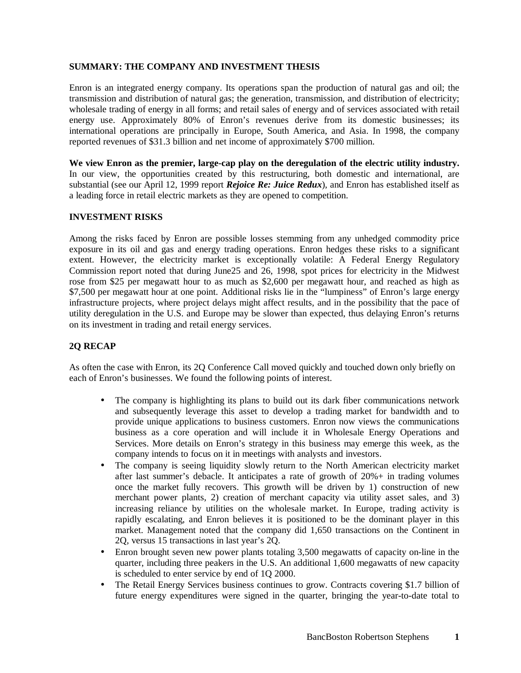### **SUMMARY: THE COMPANY AND INVESTMENT THESIS**

Enron is an integrated energy company. Its operations span the production of natural gas and oil; the transmission and distribution of natural gas; the generation, transmission, and distribution of electricity; wholesale trading of energy in all forms; and retail sales of energy and of services associated with retail energy use. Approximately 80% of Enron's revenues derive from its domestic businesses; its international operations are principally in Europe, South America, and Asia. In 1998, the company reported revenues of \$31.3 billion and net income of approximately \$700 million.

**We view Enron as the premier, large-cap play on the deregulation of the electric utility industry.** In our view, the opportunities created by this restructuring, both domestic and international, are substantial (see our April 12, 1999 report *Rejoice Re: Juice Redux*), and Enron has established itself as a leading force in retail electric markets as they are opened to competition.

## **INVESTMENT RISKS**

Among the risks faced by Enron are possible losses stemming from any unhedged commodity price exposure in its oil and gas and energy trading operations. Enron hedges these risks to a significant extent. However, the electricity market is exceptionally volatile: A Federal Energy Regulatory Commission report noted that during June25 and 26, 1998, spot prices for electricity in the Midwest rose from \$25 per megawatt hour to as much as \$2,600 per megawatt hour, and reached as high as \$7,500 per megawatt hour at one point. Additional risks lie in the "lumpiness" of Enron's large energy infrastructure projects, where project delays might affect results, and in the possibility that the pace of utility deregulation in the U.S. and Europe may be slower than expected, thus delaying Enron's returns on its investment in trading and retail energy services.

## **2Q RECAP**

As often the case with Enron, its 2Q Conference Call moved quickly and touched down only briefly on each of Enron's businesses. We found the following points of interest.

- The company is highlighting its plans to build out its dark fiber communications network and subsequently leverage this asset to develop a trading market for bandwidth and to provide unique applications to business customers. Enron now views the communications business as a core operation and will include it in Wholesale Energy Operations and Services. More details on Enron's strategy in this business may emerge this week, as the company intends to focus on it in meetings with analysts and investors.
- The company is seeing liquidity slowly return to the North American electricity market after last summer's debacle. It anticipates a rate of growth of 20%+ in trading volumes once the market fully recovers. This growth will be driven by 1) construction of new merchant power plants, 2) creation of merchant capacity via utility asset sales, and 3) increasing reliance by utilities on the wholesale market. In Europe, trading activity is rapidly escalating, and Enron believes it is positioned to be the dominant player in this market. Management noted that the company did 1,650 transactions on the Continent in 2Q, versus 15 transactions in last year's 2Q.
- Enron brought seven new power plants totaling 3,500 megawatts of capacity on-line in the quarter, including three peakers in the U.S. An additional 1,600 megawatts of new capacity is scheduled to enter service by end of 1Q 2000.
- The Retail Energy Services business continues to grow. Contracts covering \$1.7 billion of future energy expenditures were signed in the quarter, bringing the year-to-date total to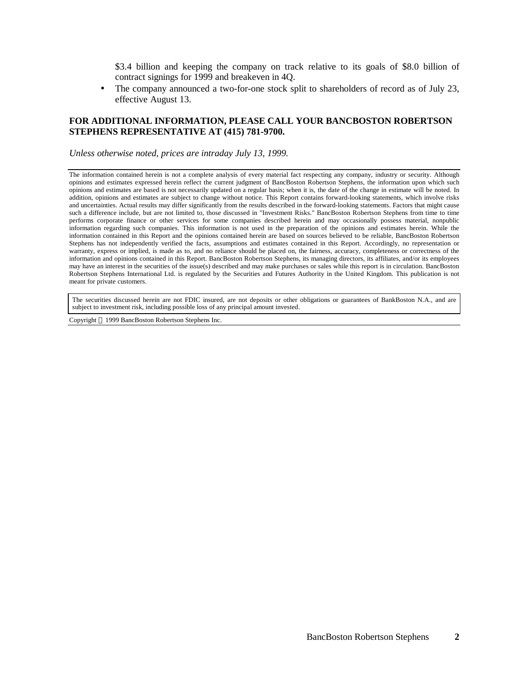\$3.4 billion and keeping the company on track relative to its goals of \$8.0 billion of contract signings for 1999 and breakeven in 4Q.

• The company announced a two-for-one stock split to shareholders of record as of July 23, effective August 13.

### **FOR ADDITIONAL INFORMATION, PLEASE CALL YOUR BANCBOSTON ROBERTSON STEPHENS REPRESENTATIVE AT (415) 781-9700.**

*Unless otherwise noted, prices are intraday July 13, 1999.*

The information contained herein is not a complete analysis of every material fact respecting any company, industry or security. Although opinions and estimates expressed herein reflect the current judgment of BancBoston Robertson Stephens, the information upon which such opinions and estimates are based is not necessarily updated on a regular basis; when it is, the date of the change in estimate will be noted. In addition, opinions and estimates are subject to change without notice. This Report contains forward-looking statements, which involve risks and uncertainties. Actual results may differ significantly from the results described in the forward-looking statements. Factors that might cause such a difference include, but are not limited to, those discussed in "Investment Risks." BancBoston Robertson Stephens from time to time performs corporate finance or other services for some companies described herein and may occasionally possess material, nonpublic information regarding such companies. This information is not used in the preparation of the opinions and estimates herein. While the information contained in this Report and the opinions contained herein are based on sources believed to be reliable, BancBoston Robertson Stephens has not independently verified the facts, assumptions and estimates contained in this Report. Accordingly, no representation or warranty, express or implied, is made as to, and no reliance should be placed on, the fairness, accuracy, completeness or correctness of the information and opinions contained in this Report. BancBoston Robertson Stephens, its managing directors, its affiliates, and/or its employees may have an interest in the securities of the issue(s) described and may make purchases or sales while this report is in circulation. BancBoston Robertson Stephens International Ltd. is regulated by the Securities and Futures Authority in the United Kingdom. This publication is not meant for private customers.

The securities discussed herein are not FDIC insured, are not deposits or other obligations or guarantees of BankBoston N.A., and are subject to investment risk, including possible loss of any principal amount invested.

Copyright 1999 BancBoston Robertson Stephens Inc.